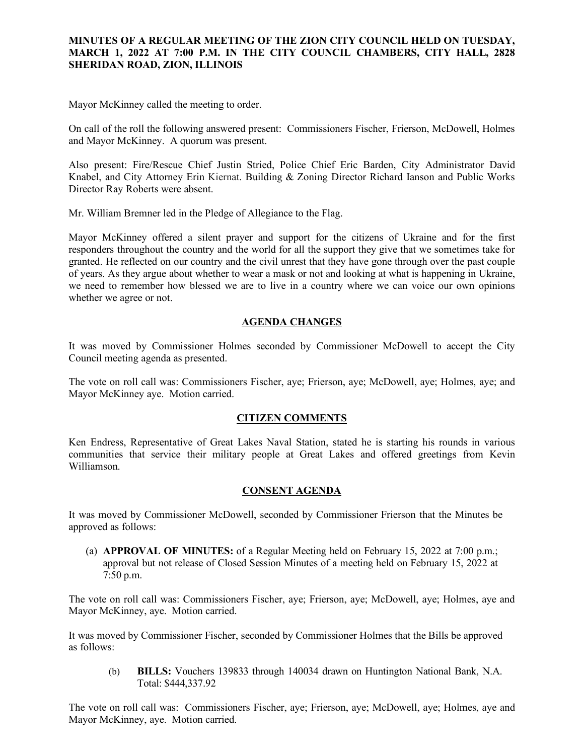### **MINUTES OF A REGULAR MEETING OF THE ZION CITY COUNCIL HELD ON TUESDAY, MARCH 1, 2022 AT 7:00 P.M. IN THE CITY COUNCIL CHAMBERS, CITY HALL, 2828 SHERIDAN ROAD, ZION, ILLINOIS**

#### 

Mayor McKinney called the meeting to order.

On call of the roll the following answered present: Commissioners Fischer, Frierson, McDowell, Holmes and Mayor McKinney. A quorum was present.

Also present: Fire/Rescue Chief Justin Stried, Police Chief Eric Barden, City Administrator David Knabel, and City Attorney Erin Kiernat. Building & Zoning Director Richard Ianson and Public Works Director Ray Roberts were absent.

Mr. William Bremner led in the Pledge of Allegiance to the Flag.

Mayor McKinney offered a silent prayer and support for the citizens of Ukraine and for the first responders throughout the country and the world for all the support they give that we sometimes take for granted. He reflected on our country and the civil unrest that they have gone through over the past couple of years. As they argue about whether to wear a mask or not and looking at what is happening in Ukraine, we need to remember how blessed we are to live in a country where we can voice our own opinions whether we agree or not.

### **AGENDA CHANGES**

It was moved by Commissioner Holmes seconded by Commissioner McDowell to accept the City Council meeting agenda as presented.

The vote on roll call was: Commissioners Fischer, aye; Frierson, aye; McDowell, aye; Holmes, aye; and Mayor McKinney aye. Motion carried.

### **CITIZEN COMMENTS**

Ken Endress, Representative of Great Lakes Naval Station, stated he is starting his rounds in various communities that service their military people at Great Lakes and offered greetings from Kevin Williamson.

### **CONSENT AGENDA**

It was moved by Commissioner McDowell, seconded by Commissioner Frierson that the Minutes be approved as follows:

(a) **APPROVAL OF MINUTES:** of a Regular Meeting held on February 15, 2022 at 7:00 p.m.; approval but not release of Closed Session Minutes of a meeting held on February 15, 2022 at 7:50 p.m.

The vote on roll call was: Commissioners Fischer, aye; Frierson, aye; McDowell, aye; Holmes, aye and Mayor McKinney, aye. Motion carried.

It was moved by Commissioner Fischer, seconded by Commissioner Holmes that the Bills be approved as follows:

(b) **BILLS:** Vouchers 139833 through 140034 drawn on Huntington National Bank, N.A. Total: \$444,337.92

The vote on roll call was: Commissioners Fischer, aye; Frierson, aye; McDowell, aye; Holmes, aye and Mayor McKinney, aye. Motion carried.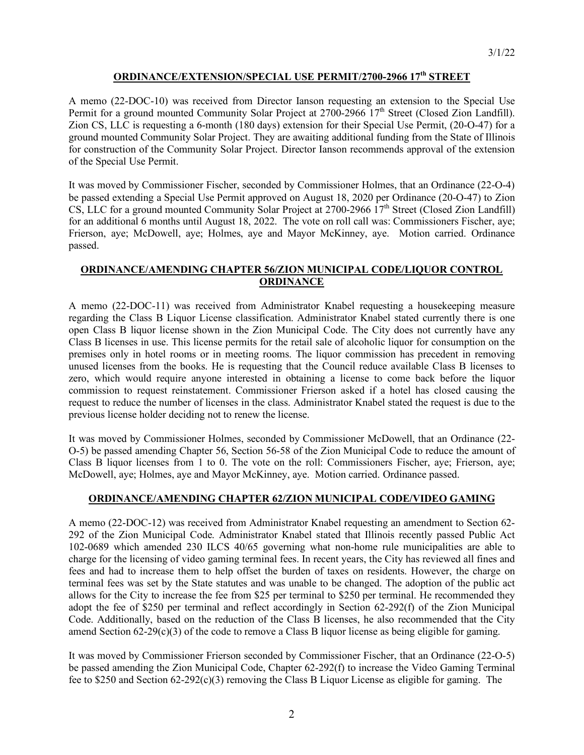### **ORDINANCE/EXTENSION/SPECIAL USE PERMIT/2700-2966 17th STREET**

A memo (22-DOC-10) was received from Director Ianson requesting an extension to the Special Use Permit for a ground mounted Community Solar Project at  $2700-2966$   $17<sup>th</sup>$  Street (Closed Zion Landfill). Zion CS, LLC is requesting a 6-month (180 days) extension for their Special Use Permit, (20-O-47) for a ground mounted Community Solar Project. They are awaiting additional funding from the State of Illinois for construction of the Community Solar Project. Director Ianson recommends approval of the extension of the Special Use Permit.

It was moved by Commissioner Fischer, seconded by Commissioner Holmes, that an Ordinance (22-O-4) be passed extending a Special Use Permit approved on August 18, 2020 per Ordinance (20-O-47) to Zion CS, LLC for a ground mounted Community Solar Project at  $2700-2966$   $17<sup>th</sup>$  Street (Closed Zion Landfill) for an additional 6 months until August 18, 2022. The vote on roll call was: Commissioners Fischer, aye; Frierson, aye; McDowell, aye; Holmes, aye and Mayor McKinney, aye. Motion carried. Ordinance passed.

# **ORDINANCE/AMENDING CHAPTER 56/ZION MUNICIPAL CODE/LIQUOR CONTROL ORDINANCE**

A memo (22-DOC-11) was received from Administrator Knabel requesting a housekeeping measure regarding the Class B Liquor License classification. Administrator Knabel stated currently there is one open Class B liquor license shown in the Zion Municipal Code. The City does not currently have any Class B licenses in use. This license permits for the retail sale of alcoholic liquor for consumption on the premises only in hotel rooms or in meeting rooms. The liquor commission has precedent in removing unused licenses from the books. He is requesting that the Council reduce available Class B licenses to zero, which would require anyone interested in obtaining a license to come back before the liquor commission to request reinstatement. Commissioner Frierson asked if a hotel has closed causing the request to reduce the number of licenses in the class. Administrator Knabel stated the request is due to the previous license holder deciding not to renew the license.

It was moved by Commissioner Holmes, seconded by Commissioner McDowell, that an Ordinance (22- O-5) be passed amending Chapter 56, Section 56-58 of the Zion Municipal Code to reduce the amount of Class B liquor licenses from 1 to 0. The vote on the roll: Commissioners Fischer, aye; Frierson, aye; McDowell, aye; Holmes, aye and Mayor McKinney, aye. Motion carried. Ordinance passed.

# **ORDINANCE/AMENDING CHAPTER 62/ZION MUNICIPAL CODE/VIDEO GAMING**

A memo (22-DOC-12) was received from Administrator Knabel requesting an amendment to Section 62- 292 of the Zion Municipal Code. Administrator Knabel stated that Illinois recently passed Public Act 102-0689 which amended 230 ILCS 40/65 governing what non-home rule municipalities are able to charge for the licensing of video gaming terminal fees. In recent years, the City has reviewed all fines and fees and had to increase them to help offset the burden of taxes on residents. However, the charge on terminal fees was set by the State statutes and was unable to be changed. The adoption of the public act allows for the City to increase the fee from \$25 per terminal to \$250 per terminal. He recommended they adopt the fee of \$250 per terminal and reflect accordingly in Section 62-292(f) of the Zion Municipal Code. Additionally, based on the reduction of the Class B licenses, he also recommended that the City amend Section  $62-29(c)(3)$  of the code to remove a Class B liquor license as being eligible for gaming.

It was moved by Commissioner Frierson seconded by Commissioner Fischer, that an Ordinance (22-O-5) be passed amending the Zion Municipal Code, Chapter 62-292(f) to increase the Video Gaming Terminal fee to \$250 and Section 62-292(c)(3) removing the Class B Liquor License as eligible for gaming. The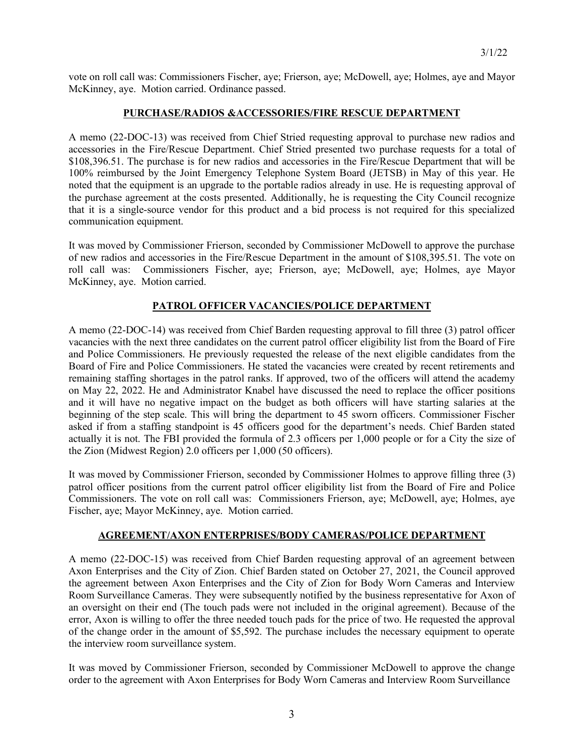vote on roll call was: Commissioners Fischer, aye; Frierson, aye; McDowell, aye; Holmes, aye and Mayor McKinney, aye. Motion carried. Ordinance passed.

# **PURCHASE/RADIOS &ACCESSORIES/FIRE RESCUE DEPARTMENT**

A memo (22-DOC-13) was received from Chief Stried requesting approval to purchase new radios and accessories in the Fire/Rescue Department. Chief Stried presented two purchase requests for a total of \$108,396.51. The purchase is for new radios and accessories in the Fire/Rescue Department that will be 100% reimbursed by the Joint Emergency Telephone System Board (JETSB) in May of this year. He noted that the equipment is an upgrade to the portable radios already in use. He is requesting approval of the purchase agreement at the costs presented. Additionally, he is requesting the City Council recognize that it is a single-source vendor for this product and a bid process is not required for this specialized communication equipment.

It was moved by Commissioner Frierson, seconded by Commissioner McDowell to approve the purchase of new radios and accessories in the Fire/Rescue Department in the amount of \$108,395.51. The vote on roll call was: Commissioners Fischer, aye; Frierson, aye; McDowell, aye; Holmes, aye Mayor McKinney, aye. Motion carried.

### **PATROL OFFICER VACANCIES/POLICE DEPARTMENT**

A memo (22-DOC-14) was received from Chief Barden requesting approval to fill three (3) patrol officer vacancies with the next three candidates on the current patrol officer eligibility list from the Board of Fire and Police Commissioners. He previously requested the release of the next eligible candidates from the Board of Fire and Police Commissioners. He stated the vacancies were created by recent retirements and remaining staffing shortages in the patrol ranks. If approved, two of the officers will attend the academy on May 22, 2022. He and Administrator Knabel have discussed the need to replace the officer positions and it will have no negative impact on the budget as both officers will have starting salaries at the beginning of the step scale. This will bring the department to 45 sworn officers. Commissioner Fischer asked if from a staffing standpoint is 45 officers good for the department's needs. Chief Barden stated actually it is not. The FBI provided the formula of 2.3 officers per 1,000 people or for a City the size of the Zion (Midwest Region) 2.0 officers per 1,000 (50 officers).

It was moved by Commissioner Frierson, seconded by Commissioner Holmes to approve filling three (3) patrol officer positions from the current patrol officer eligibility list from the Board of Fire and Police Commissioners. The vote on roll call was: Commissioners Frierson, aye; McDowell, aye; Holmes, aye Fischer, aye; Mayor McKinney, aye. Motion carried.

### **AGREEMENT/AXON ENTERPRISES/BODY CAMERAS/POLICE DEPARTMENT**

A memo (22-DOC-15) was received from Chief Barden requesting approval of an agreement between Axon Enterprises and the City of Zion. Chief Barden stated on October 27, 2021, the Council approved the agreement between Axon Enterprises and the City of Zion for Body Worn Cameras and Interview Room Surveillance Cameras. They were subsequently notified by the business representative for Axon of an oversight on their end (The touch pads were not included in the original agreement). Because of the error, Axon is willing to offer the three needed touch pads for the price of two. He requested the approval of the change order in the amount of \$5,592. The purchase includes the necessary equipment to operate the interview room surveillance system.

It was moved by Commissioner Frierson, seconded by Commissioner McDowell to approve the change order to the agreement with Axon Enterprises for Body Worn Cameras and Interview Room Surveillance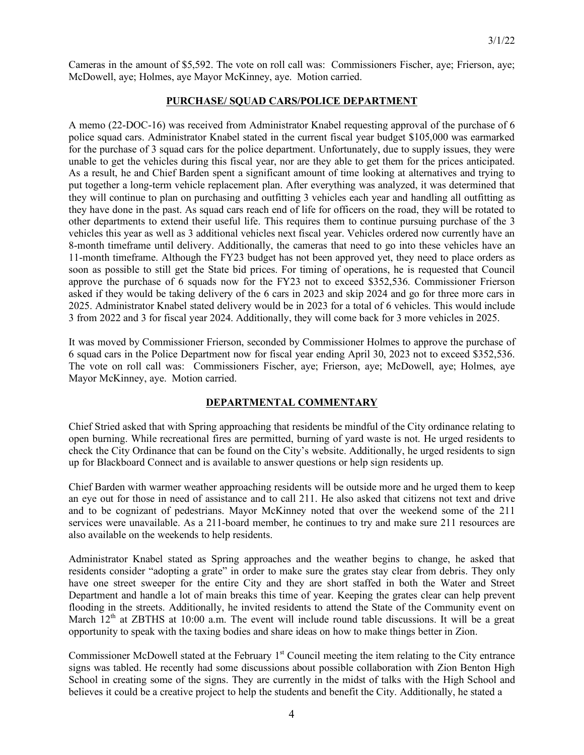Cameras in the amount of \$5,592. The vote on roll call was: Commissioners Fischer, aye; Frierson, aye; McDowell, aye; Holmes, aye Mayor McKinney, aye. Motion carried.

#### **PURCHASE/ SQUAD CARS/POLICE DEPARTMENT**

A memo (22-DOC-16) was received from Administrator Knabel requesting approval of the purchase of 6 police squad cars. Administrator Knabel stated in the current fiscal year budget \$105,000 was earmarked for the purchase of 3 squad cars for the police department. Unfortunately, due to supply issues, they were unable to get the vehicles during this fiscal year, nor are they able to get them for the prices anticipated. As a result, he and Chief Barden spent a significant amount of time looking at alternatives and trying to put together a long-term vehicle replacement plan. After everything was analyzed, it was determined that they will continue to plan on purchasing and outfitting 3 vehicles each year and handling all outfitting as they have done in the past. As squad cars reach end of life for officers on the road, they will be rotated to other departments to extend their useful life. This requires them to continue pursuing purchase of the 3 vehicles this year as well as 3 additional vehicles next fiscal year. Vehicles ordered now currently have an 8-month timeframe until delivery. Additionally, the cameras that need to go into these vehicles have an 11-month timeframe. Although the FY23 budget has not been approved yet, they need to place orders as soon as possible to still get the State bid prices. For timing of operations, he is requested that Council approve the purchase of 6 squads now for the FY23 not to exceed \$352,536. Commissioner Frierson asked if they would be taking delivery of the 6 cars in 2023 and skip 2024 and go for three more cars in 2025. Administrator Knabel stated delivery would be in 2023 for a total of 6 vehicles. This would include 3 from 2022 and 3 for fiscal year 2024. Additionally, they will come back for 3 more vehicles in 2025.

It was moved by Commissioner Frierson, seconded by Commissioner Holmes to approve the purchase of 6 squad cars in the Police Department now for fiscal year ending April 30, 2023 not to exceed \$352,536. The vote on roll call was: Commissioners Fischer, aye; Frierson, aye; McDowell, aye; Holmes, aye Mayor McKinney, aye. Motion carried.

### **DEPARTMENTAL COMMENTARY**

Chief Stried asked that with Spring approaching that residents be mindful of the City ordinance relating to open burning. While recreational fires are permitted, burning of yard waste is not. He urged residents to check the City Ordinance that can be found on the City's website. Additionally, he urged residents to sign up for Blackboard Connect and is available to answer questions or help sign residents up.

Chief Barden with warmer weather approaching residents will be outside more and he urged them to keep an eye out for those in need of assistance and to call 211. He also asked that citizens not text and drive and to be cognizant of pedestrians. Mayor McKinney noted that over the weekend some of the 211 services were unavailable. As a 211-board member, he continues to try and make sure 211 resources are also available on the weekends to help residents.

Administrator Knabel stated as Spring approaches and the weather begins to change, he asked that residents consider "adopting a grate" in order to make sure the grates stay clear from debris. They only have one street sweeper for the entire City and they are short staffed in both the Water and Street Department and handle a lot of main breaks this time of year. Keeping the grates clear can help prevent flooding in the streets. Additionally, he invited residents to attend the State of the Community event on March 12<sup>th</sup> at ZBTHS at 10:00 a.m. The event will include round table discussions. It will be a great opportunity to speak with the taxing bodies and share ideas on how to make things better in Zion.

Commissioner McDowell stated at the February 1<sup>st</sup> Council meeting the item relating to the City entrance signs was tabled. He recently had some discussions about possible collaboration with Zion Benton High School in creating some of the signs. They are currently in the midst of talks with the High School and believes it could be a creative project to help the students and benefit the City. Additionally, he stated a